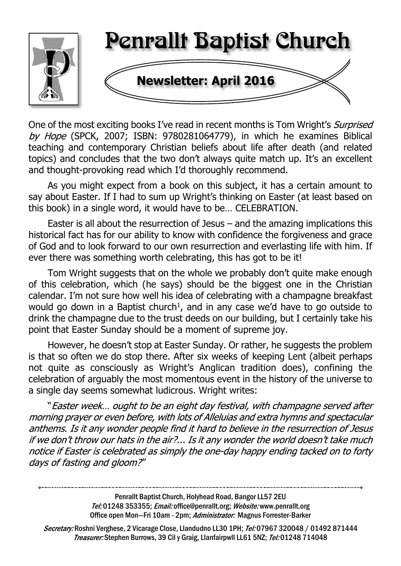

One of the most exciting books I've read in recent months is Tom Wright's *Surprised* by Hope (SPCK, 2007; ISBN: 9780281064779), in which he examines Biblical teaching and contemporary Christian beliefs about life after death (and related topics) and concludes that the two don't always quite match up. It's an excellent and thought-provoking read which I'd thoroughly recommend.

As you might expect from a book on this subject, it has a certain amount to say about Easter. If I had to sum up Wright's thinking on Easter (at least based on this book) in a single word, it would have to be… CELEBRATION.

Easter is all about the resurrection of Jesus – and the amazing implications this historical fact has for our ability to know with confidence the forgiveness and grace of God and to look forward to our own resurrection and everlasting life with him. If ever there was something worth celebrating, this has got to be it!

Tom Wright suggests that on the whole we probably don't quite make enough of this celebration, which (he says) should be the biggest one in the Christian calendar. I'm not sure how well his idea of celebrating with a champagne breakfast would go down in a Baptist church<sup>1</sup>, and in any case we'd have to go outside to drink the champagne due to the trust deeds on our building, but I certainly take his point that Easter Sunday should be a moment of supreme joy.

However, he doesn't stop at Easter Sunday. Or rather, he suggests the problem is that so often we do stop there. After six weeks of keeping Lent (albeit perhaps not quite as consciously as Wright's Anglican tradition does), confining the celebration of arguably the most momentous event in the history of the universe to a single day seems somewhat ludicrous. Wright writes:

"Easter week... ought to be an eight day festival, with champagne served after morning prayer or even before, with lots of Alleluias and extra hymns and spectacular anthems. Is it any wonder people find it hard to believe in the resurrection of Jesus if we don't throw our hats in the air?... Is it any wonder the world doesn't take much notice if Easter is celebrated as simply the one-day happy ending tacked on to forty days of fasting and gloom?"

> Penrallt Baptist Church, Holyhead Road, Bangor LL57 2EU Tel:01248 353355; Email: office@penrallt.org; Website: www.penrallt.org Office open Mon-Fri 10am - 2pm: Administrator: Magnus Forrester-Barker

Secretary: Roshni Verghese, 2 Vicarage Close, Llandudno LL30 1PH; Tel: 07967 320048 / 01492 871444 Treasurer: Stephen Burrows, 39 Cil y Graig, Llanfairpwll LL61 5NZ; Tel: 01248 714048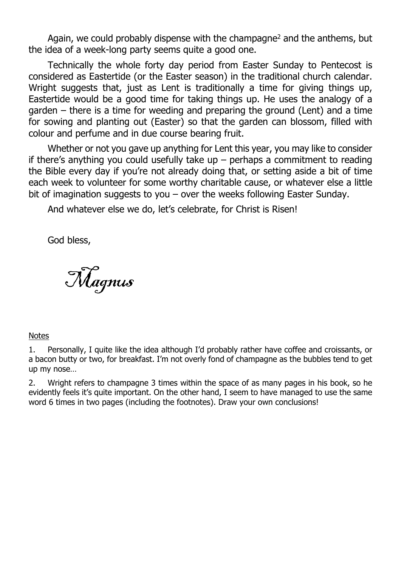Again, we could probably dispense with the champagne<sup>2</sup> and the anthems, but the idea of a week-long party seems quite a good one.

Technically the whole forty day period from Easter Sunday to Pentecost is considered as Eastertide (or the Easter season) in the traditional church calendar. Wright suggests that, just as Lent is traditionally a time for giving things up, Eastertide would be a good time for taking things up. He uses the analogy of a garden – there is a time for weeding and preparing the ground (Lent) and a time for sowing and planting out (Easter) so that the garden can blossom, filled with colour and perfume and in due course bearing fruit.

Whether or not you gave up anything for Lent this year, you may like to consider if there's anything you could usefully take up  $-$  perhaps a commitment to reading the Bible every day if you're not already doing that, or setting aside a bit of time each week to volunteer for some worthy charitable cause, or whatever else a little bit of imagination suggests to you – over the weeks following Easter Sunday.

And whatever else we do, let's celebrate, for Christ is Risen!

God bless,

Magnus

#### **Notes**

2. Wright refers to champagne 3 times within the space of as many pages in his book, so he evidently feels it's quite important. On the other hand, I seem to have managed to use the same word 6 times in two pages (including the footnotes). Draw your own conclusions!

<sup>1.</sup> Personally, I quite like the idea although I'd probably rather have coffee and croissants, or a bacon butty or two, for breakfast. I'm not overly fond of champagne as the bubbles tend to get up my nose…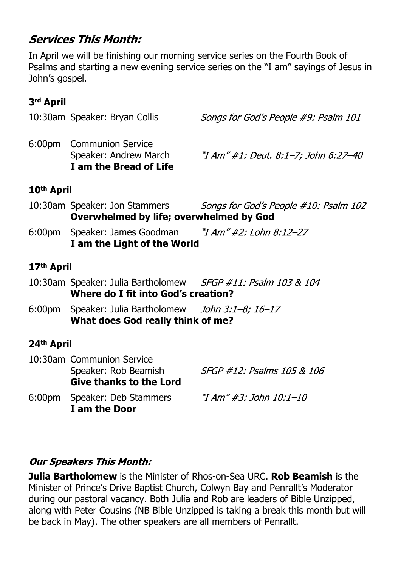# **Services This Month:**

In April we will be finishing our morning service series on the Fourth Book of Psalms and starting a new evening service series on the "I am" sayings of Jesus in John's gospel.

## **3rd April**

| 10:30am Speaker: Bryan Collis                                               | Songs for God's People #9: Psalm 101 |
|-----------------------------------------------------------------------------|--------------------------------------|
| 6:00pm Communion Service<br>Speaker: Andrew March<br>I am the Bread of Life | "I Am" #1: Deut. 8:1–7; John 6:27–40 |
|                                                                             |                                      |

## **10th April**

- 10:30am Speaker: Jon Stammers Songs for God's People #10: Psalm 102 **Overwhelmed by life; overwhelmed by God**
- 6:00pm Speaker: James Goodman "I Am"  $\#2$ : Lohn 8:12-27 **I am the Light of the World**

## **17th April**

- 10:30am Speaker: Julia Bartholomew SFGP #11: Psalm 103 & 104 **Where do I fit into God's creation?**
- 6:00pm Speaker: Julia Bartholomew John 3:1-8; 16-17 **What does God really think of me?**

## **24th April**

10:30am Communion Service Speaker: Rob Beamish SFGP #12: Psalms 105 & 106 **Give thanks to the Lord** 6:00pm Speaker: Deb Stammers "I Am" #3: John 10:1-10 **I am the Door**

## **Our Speakers This Month:**

**Julia Bartholomew** is the Minister of Rhos-on-Sea URC. **Rob Beamish** is the Minister of Prince's Drive Baptist Church, Colwyn Bay and Penrallt's Moderator during our pastoral vacancy. Both Julia and Rob are leaders of Bible Unzipped, along with Peter Cousins (NB Bible Unzipped is taking a break this month but will be back in May). The other speakers are all members of Penrallt.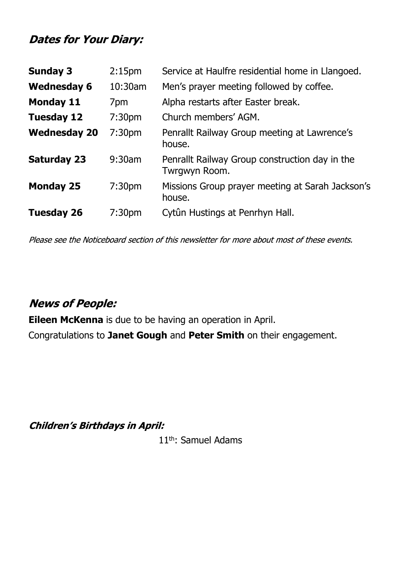## **Dates for Your Diary:**

| <b>Sunday 3</b>     | 2:15 <sub>pm</sub> | Service at Haulfre residential home in Llangoed.                |  |
|---------------------|--------------------|-----------------------------------------------------------------|--|
| <b>Wednesday 6</b>  | 10:30am            | Men's prayer meeting followed by coffee.                        |  |
| <b>Monday 11</b>    | 7pm                | Alpha restarts after Easter break.                              |  |
| <b>Tuesday 12</b>   | 7:30 <sub>pm</sub> | Church members' AGM.                                            |  |
| <b>Wednesday 20</b> | 7:30 <sub>pm</sub> | Penrallt Railway Group meeting at Lawrence's<br>house.          |  |
| <b>Saturday 23</b>  | $9:30$ am          | Penrallt Railway Group construction day in the<br>Twrgwyn Room. |  |
| <b>Monday 25</b>    | 7:30 <sub>pm</sub> | Missions Group prayer meeting at Sarah Jackson's<br>house.      |  |
| <b>Tuesday 26</b>   | 7:30 <sub>pm</sub> | Cytûn Hustings at Penrhyn Hall.                                 |  |

Please see the Noticeboard section of this newsletter for more about most of these events.

# **News of People:**

**Eileen McKenna** is due to be having an operation in April.

Congratulations to **Janet Gough** and **Peter Smith** on their engagement.

**Children's Birthdays in April:** 

11th: Samuel Adams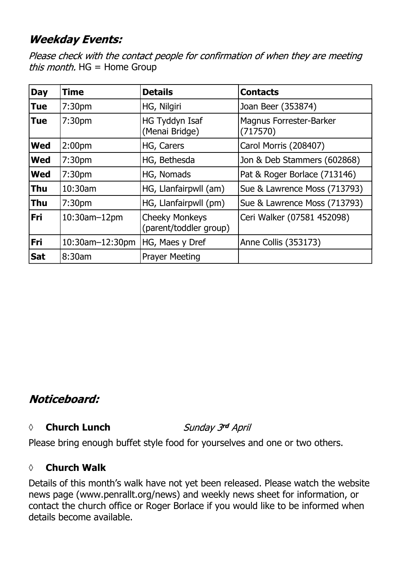# **Weekday Events:**

Please check with the contact people for confirmation of when they are meeting *this month.*  $HG = Home Group$ 

| <b>Day</b> | <b>Time</b>        | <b>Details</b>                                  | <b>Contacts</b>                            |
|------------|--------------------|-------------------------------------------------|--------------------------------------------|
| <b>Tue</b> | 7:30 <sub>pm</sub> | HG, Nilgiri                                     | Joan Beer (353874)                         |
| <b>Tue</b> | 7:30 <sub>pm</sub> | HG Tyddyn Isaf<br>(Menai Bridge)                | <b>Magnus Forrester-Barker</b><br>(717570) |
| <b>Wed</b> | 2:00 <sub>pm</sub> | HG, Carers                                      | Carol Morris (208407)                      |
| <b>Wed</b> | 7:30 <sub>pm</sub> | HG, Bethesda                                    | Jon & Deb Stammers (602868)                |
| <b>Wed</b> | 7:30 <sub>pm</sub> | HG, Nomads                                      | Pat & Roger Borlace (713146)               |
| <b>Thu</b> | 10:30am            | HG, Llanfairpwll (am)                           | Sue & Lawrence Moss (713793)               |
| <b>Thu</b> | 7:30 <sub>pm</sub> | HG, Llanfairpwll (pm)                           | Sue & Lawrence Moss (713793)               |
| Fri        | 10:30am-12pm       | <b>Cheeky Monkeys</b><br>(parent/toddler group) | Ceri Walker (07581 452098)                 |
| Fri        | 10:30am-12:30pm    | HG, Maes y Dref                                 | Anne Collis (353173)                       |
| <b>Sat</b> | 8:30am             | <b>Prayer Meeting</b>                           |                                            |

# Noticeboard:

#### *◊* **Church Lunch**

Sunday 3rd April

Please bring enough buffet style food for yourselves and one or two others.

## *◊* **Church Walk**

Details of this month's walk have not yet been released. Please watch the website news page (www.penrallt.org/news) and weekly news sheet for information, or contact the church office or Roger Borlace if you would like to be informed when details become available.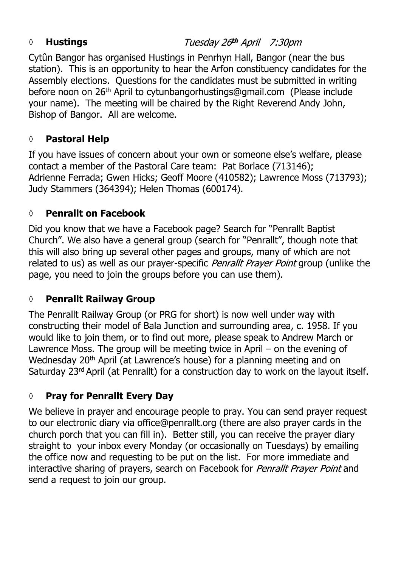## *◊* **Hustings**

Tuesday 26th April 7:30pm

Cytûn Bangor has organised Hustings in Penrhyn Hall, Bangor (near the bus station). This is an opportunity to hear the Arfon constituency candidates for the Assembly elections. Questions for the candidates must be submitted in writing before noon on 26th April to cytunbangorhustings@gmail.com (Please include your name). The meeting will be chaired by the Right Reverend Andy John, Bishop of Bangor. All are welcome.

## **◊ Pastoral Help**

If you have issues of concern about your own or someone else's welfare, please contact a member of the Pastoral Care team: Pat Borlace (713146); Adrienne Ferrada; Gwen Hicks; Geoff Moore (410582); Lawrence Moss (713793); Judy Stammers (364394); Helen Thomas (600174).

## **◊ Penrallt on Facebook**

Did you know that we have a Facebook page? Search for "Penrallt Baptist Church". We also have a general group (search for "Penrallt", though note that this will also bring up several other pages and groups, many of which are not related to us) as well as our prayer-specific *Penrallt Prayer Point* group (unlike the page, you need to join the groups before you can use them).

## **◊ Penrallt Railway Group**

The Penrallt Railway Group (or PRG for short) is now well under way with constructing their model of Bala Junction and surrounding area, c. 1958. If you would like to join them, or to find out more, please speak to Andrew March or Lawrence Moss. The group will be meeting twice in April – on the evening of Wednesday 20<sup>th</sup> April (at Lawrence's house) for a planning meeting and on Saturday 23rd April (at Penrallt) for a construction day to work on the layout itself.

## **◊ Pray for Penrallt Every Day**

We believe in prayer and encourage people to pray. You can send prayer request to our electronic diary via office@penrallt.org (there are also prayer cards in the church porch that you can fill in). Better still, you can receive the prayer diary straight to your inbox every Monday (or occasionally on Tuesdays) by emailing the office now and requesting to be put on the list. For more immediate and interactive sharing of prayers, search on Facebook for *Penrallt Prayer Point* and send a request to join our group.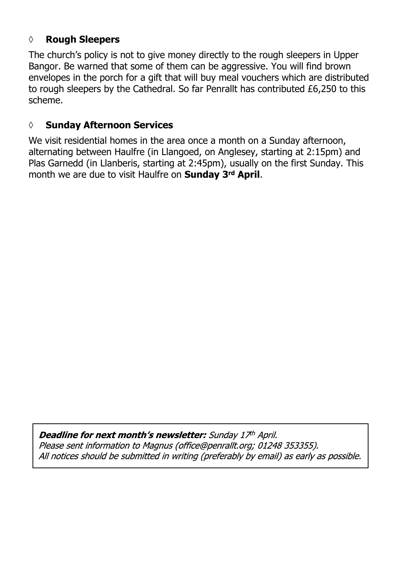#### **◊ Rough Sleepers**

The church's policy is not to give money directly to the rough sleepers in Upper Bangor. Be warned that some of them can be aggressive. You will find brown envelopes in the porch for a gift that will buy meal vouchers which are distributed to rough sleepers by the Cathedral. So far Penrallt has contributed £6,250 to this scheme.

#### **◊ Sunday Afternoon Services**

We visit residential homes in the area once a month on a Sunday afternoon, alternating between Haulfre (in Llangoed, on Anglesey, starting at 2:15pm) and Plas Garnedd (in Llanberis, starting at 2:45pm), usually on the first Sunday. This month we are due to visit Haulfre on **Sunday 3rd April**.

Deadline for next month's newsletter: Sunday 17th April. Please sent information to Magnus (office@penrallt.org; 01248 353355). All notices should be submitted in writing (preferably by email) as early as possible.